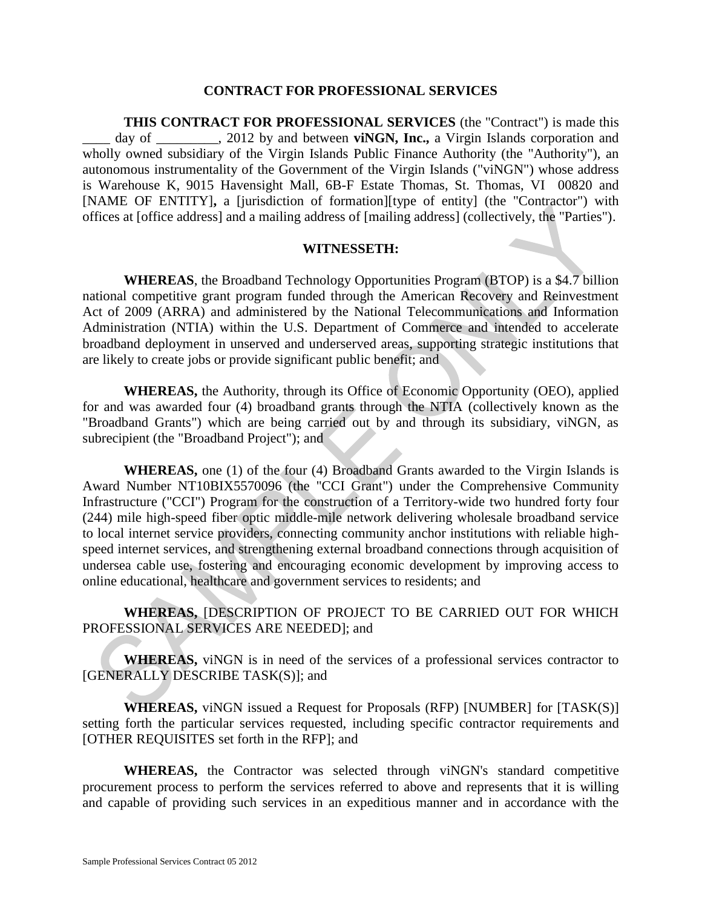#### **CONTRACT FOR PROFESSIONAL SERVICES**

**THIS CONTRACT FOR PROFESSIONAL SERVICES** (the "Contract") is made this day of \_\_\_\_\_\_\_, 2012 by and between **viNGN, Inc.,** a Virgin Islands corporation and wholly owned subsidiary of the Virgin Islands Public Finance Authority (the "Authority"), an autonomous instrumentality of the Government of the Virgin Islands ("viNGN") whose address is Warehouse K, 9015 Havensight Mall, 6B-F Estate Thomas, St. Thomas, VI 00820 and [NAME OF ENTITY]**,** a [jurisdiction of formation][type of entity] (the "Contractor") with offices at [office address] and a mailing address of [mailing address] (collectively, the "Parties").

#### **WITNESSETH:**

**WHEREAS**, the Broadband Technology Opportunities Program (BTOP) is a \$4.7 billion national competitive grant program funded through the American Recovery and Reinvestment Act of 2009 (ARRA) and administered by the National Telecommunications and Information Administration (NTIA) within the U.S. Department of Commerce and intended to accelerate broadband deployment in unserved and underserved areas, supporting strategic institutions that are likely to create jobs or provide significant public benefit; and

**WHEREAS,** the Authority, through its Office of Economic Opportunity (OEO), applied for and was awarded four (4) broadband grants through the NTIA (collectively known as the "Broadband Grants") which are being carried out by and through its subsidiary, viNGN, as subrecipient (the "Broadband Project"); and

**WHEREAS,** one (1) of the four (4) Broadband Grants awarded to the Virgin Islands is Award Number NT10BIX5570096 (the "CCI Grant") under the Comprehensive Community Infrastructure ("CCI") Program for the construction of a Territory-wide two hundred forty four (244) mile high-speed fiber optic middle-mile network delivering wholesale broadband service to local internet service providers, connecting community anchor institutions with reliable highspeed internet services, and strengthening external broadband connections through acquisition of undersea cable use, fostering and encouraging economic development by improving access to online educational, healthcare and government services to residents; and

**WHEREAS,** [DESCRIPTION OF PROJECT TO BE CARRIED OUT FOR WHICH PROFESSIONAL SERVICES ARE NEEDED]; and

**WHEREAS,** viNGN is in need of the services of a professional services contractor to [GENERALLY DESCRIBE TASK(S)]; and

**WHEREAS,** viNGN issued a Request for Proposals (RFP) [NUMBER] for [TASK(S)] setting forth the particular services requested, including specific contractor requirements and [OTHER REQUISITES set forth in the RFP]; and

**WHEREAS,** the Contractor was selected through viNGN's standard competitive procurement process to perform the services referred to above and represents that it is willing and capable of providing such services in an expeditious manner and in accordance with the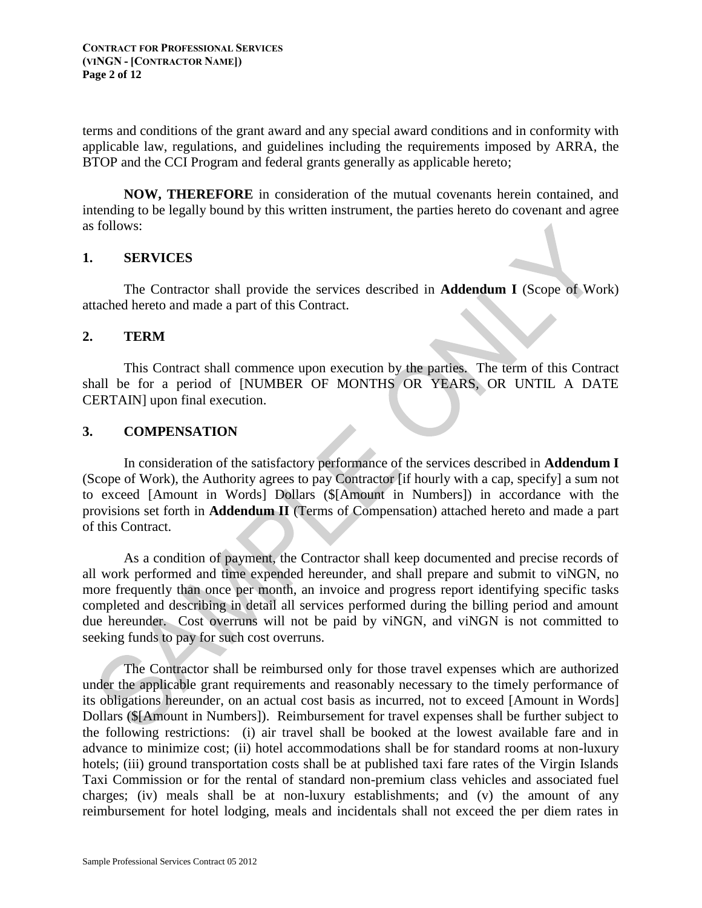terms and conditions of the grant award and any special award conditions and in conformity with applicable law, regulations, and guidelines including the requirements imposed by ARRA, the BTOP and the CCI Program and federal grants generally as applicable hereto;

**NOW, THEREFORE** in consideration of the mutual covenants herein contained, and intending to be legally bound by this written instrument, the parties hereto do covenant and agree as follows:

#### **1. SERVICES**

The Contractor shall provide the services described in **Addendum I** (Scope of Work) attached hereto and made a part of this Contract.

#### **2. TERM**

This Contract shall commence upon execution by the parties. The term of this Contract shall be for a period of [NUMBER OF MONTHS OR YEARS, OR UNTIL A DATE CERTAIN] upon final execution.

#### **3. COMPENSATION**

In consideration of the satisfactory performance of the services described in **Addendum I** (Scope of Work), the Authority agrees to pay Contractor [if hourly with a cap, specify] a sum not to exceed [Amount in Words] Dollars (\$[Amount in Numbers]) in accordance with the provisions set forth in **Addendum II** (Terms of Compensation) attached hereto and made a part of this Contract.

As a condition of payment, the Contractor shall keep documented and precise records of all work performed and time expended hereunder, and shall prepare and submit to viNGN, no more frequently than once per month, an invoice and progress report identifying specific tasks completed and describing in detail all services performed during the billing period and amount due hereunder. Cost overruns will not be paid by viNGN, and viNGN is not committed to seeking funds to pay for such cost overruns.

The Contractor shall be reimbursed only for those travel expenses which are authorized under the applicable grant requirements and reasonably necessary to the timely performance of its obligations hereunder, on an actual cost basis as incurred, not to exceed [Amount in Words] Dollars (\$[Amount in Numbers]). Reimbursement for travel expenses shall be further subject to the following restrictions: (i) air travel shall be booked at the lowest available fare and in advance to minimize cost; (ii) hotel accommodations shall be for standard rooms at non-luxury hotels; (iii) ground transportation costs shall be at published taxi fare rates of the Virgin Islands Taxi Commission or for the rental of standard non-premium class vehicles and associated fuel charges; (iv) meals shall be at non-luxury establishments; and (v) the amount of any reimbursement for hotel lodging, meals and incidentals shall not exceed the per diem rates in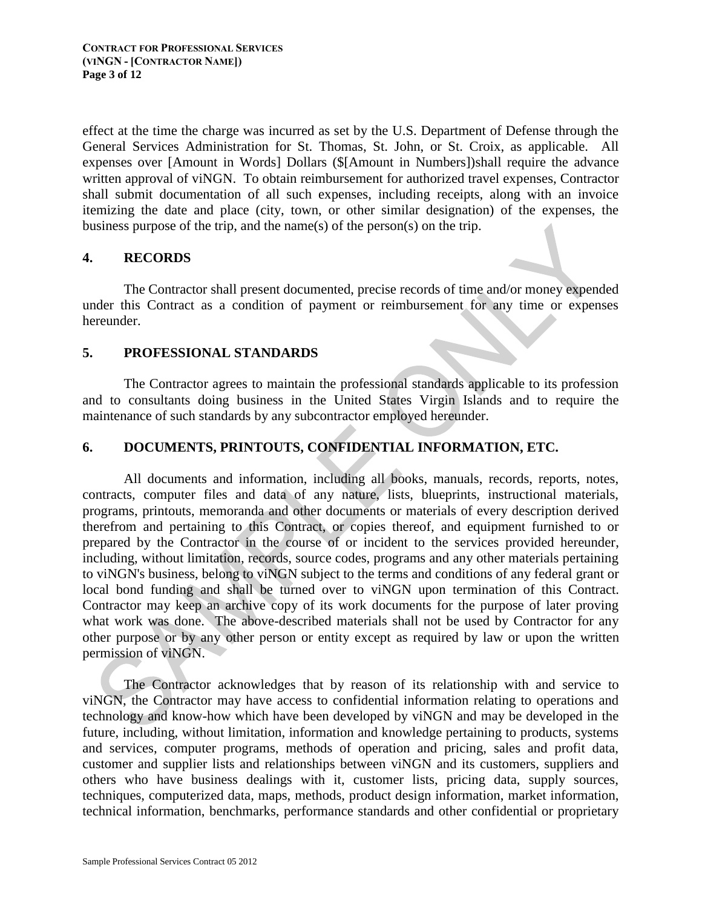effect at the time the charge was incurred as set by the U.S. Department of Defense through the General Services Administration for St. Thomas, St. John, or St. Croix, as applicable. All expenses over [Amount in Words] Dollars (\$[Amount in Numbers])shall require the advance written approval of viNGN. To obtain reimbursement for authorized travel expenses, Contractor shall submit documentation of all such expenses, including receipts, along with an invoice itemizing the date and place (city, town, or other similar designation) of the expenses, the business purpose of the trip, and the name(s) of the person(s) on the trip.

## **4. RECORDS**

The Contractor shall present documented, precise records of time and/or money expended under this Contract as a condition of payment or reimbursement for any time or expenses hereunder.

## **5. PROFESSIONAL STANDARDS**

The Contractor agrees to maintain the professional standards applicable to its profession and to consultants doing business in the United States Virgin Islands and to require the maintenance of such standards by any subcontractor employed hereunder.

# **6. DOCUMENTS, PRINTOUTS, CONFIDENTIAL INFORMATION, ETC.**

All documents and information, including all books, manuals, records, reports, notes, contracts, computer files and data of any nature, lists, blueprints, instructional materials, programs, printouts, memoranda and other documents or materials of every description derived therefrom and pertaining to this Contract, or copies thereof, and equipment furnished to or prepared by the Contractor in the course of or incident to the services provided hereunder, including, without limitation, records, source codes, programs and any other materials pertaining to viNGN's business, belong to viNGN subject to the terms and conditions of any federal grant or local bond funding and shall be turned over to viNGN upon termination of this Contract. Contractor may keep an archive copy of its work documents for the purpose of later proving what work was done. The above-described materials shall not be used by Contractor for any other purpose or by any other person or entity except as required by law or upon the written permission of viNGN.

The Contractor acknowledges that by reason of its relationship with and service to viNGN, the Contractor may have access to confidential information relating to operations and technology and know-how which have been developed by viNGN and may be developed in the future, including, without limitation, information and knowledge pertaining to products, systems and services, computer programs, methods of operation and pricing, sales and profit data, customer and supplier lists and relationships between viNGN and its customers, suppliers and others who have business dealings with it, customer lists, pricing data, supply sources, techniques, computerized data, maps, methods, product design information, market information, technical information, benchmarks, performance standards and other confidential or proprietary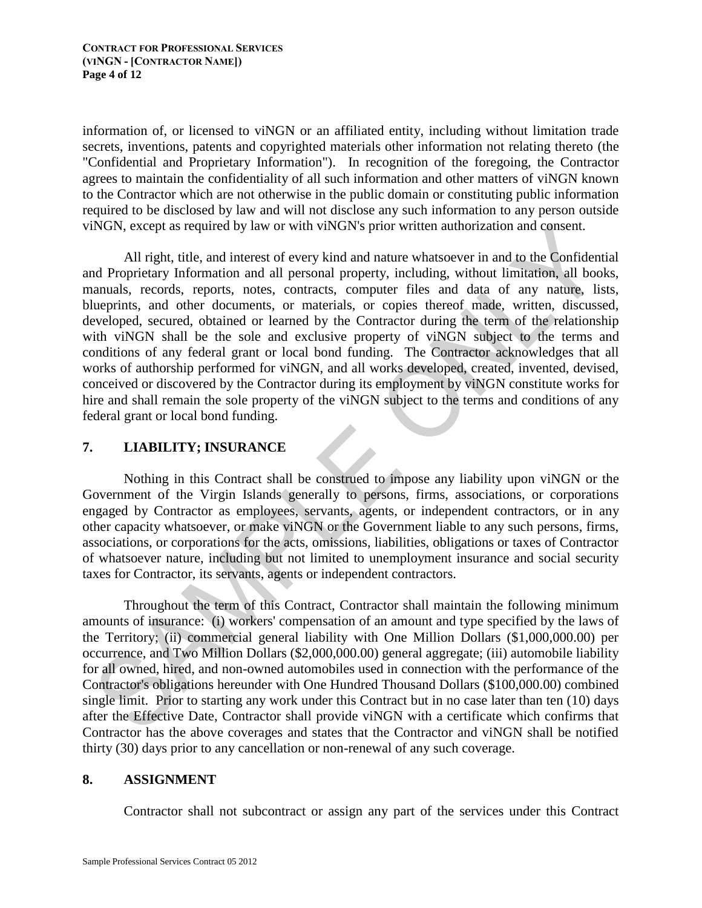information of, or licensed to viNGN or an affiliated entity, including without limitation trade secrets, inventions, patents and copyrighted materials other information not relating thereto (the "Confidential and Proprietary Information"). In recognition of the foregoing, the Contractor agrees to maintain the confidentiality of all such information and other matters of viNGN known to the Contractor which are not otherwise in the public domain or constituting public information required to be disclosed by law and will not disclose any such information to any person outside viNGN, except as required by law or with viNGN's prior written authorization and consent.

All right, title, and interest of every kind and nature whatsoever in and to the Confidential and Proprietary Information and all personal property, including, without limitation, all books, manuals, records, reports, notes, contracts, computer files and data of any nature, lists, blueprints, and other documents, or materials, or copies thereof made, written, discussed, developed, secured, obtained or learned by the Contractor during the term of the relationship with viNGN shall be the sole and exclusive property of viNGN subject to the terms and conditions of any federal grant or local bond funding. The Contractor acknowledges that all works of authorship performed for viNGN, and all works developed, created, invented, devised, conceived or discovered by the Contractor during its employment by viNGN constitute works for hire and shall remain the sole property of the viNGN subject to the terms and conditions of any federal grant or local bond funding.

## **7. LIABILITY; INSURANCE**

Nothing in this Contract shall be construed to impose any liability upon viNGN or the Government of the Virgin Islands generally to persons, firms, associations, or corporations engaged by Contractor as employees, servants, agents, or independent contractors, or in any other capacity whatsoever, or make viNGN or the Government liable to any such persons, firms, associations, or corporations for the acts, omissions, liabilities, obligations or taxes of Contractor of whatsoever nature, including but not limited to unemployment insurance and social security taxes for Contractor, its servants, agents or independent contractors.

Throughout the term of this Contract, Contractor shall maintain the following minimum amounts of insurance: (i) workers' compensation of an amount and type specified by the laws of the Territory; (ii) commercial general liability with One Million Dollars (\$1,000,000.00) per occurrence, and Two Million Dollars (\$2,000,000.00) general aggregate; (iii) automobile liability for all owned, hired, and non-owned automobiles used in connection with the performance of the Contractor's obligations hereunder with One Hundred Thousand Dollars (\$100,000.00) combined single limit. Prior to starting any work under this Contract but in no case later than ten (10) days after the Effective Date, Contractor shall provide viNGN with a certificate which confirms that Contractor has the above coverages and states that the Contractor and viNGN shall be notified thirty (30) days prior to any cancellation or non-renewal of any such coverage.

### **8. ASSIGNMENT**

Contractor shall not subcontract or assign any part of the services under this Contract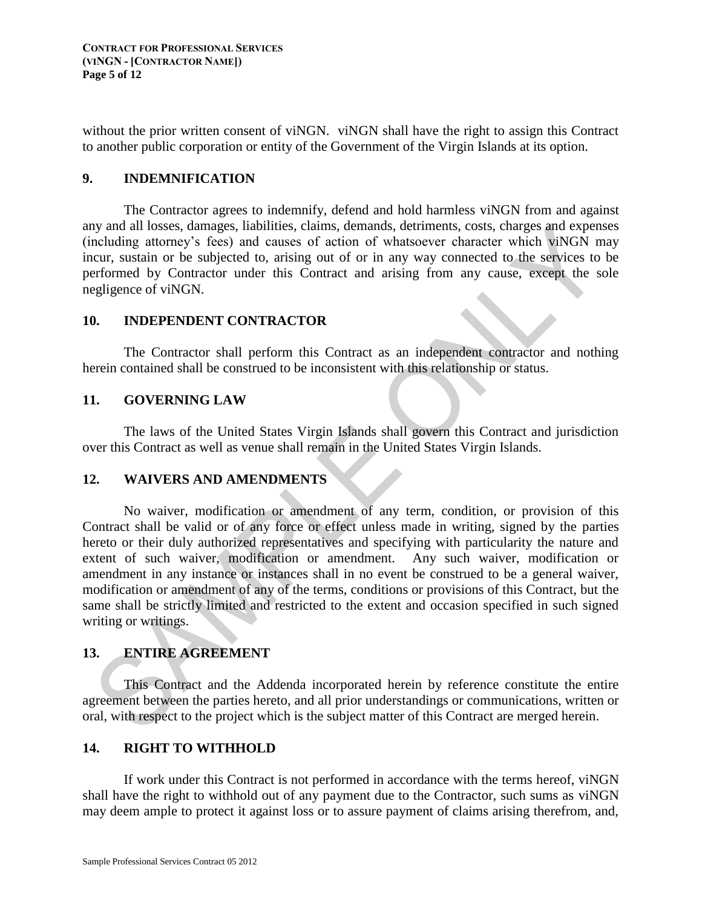without the prior written consent of viNGN. viNGN shall have the right to assign this Contract to another public corporation or entity of the Government of the Virgin Islands at its option.

### **9. INDEMNIFICATION**

The Contractor agrees to indemnify, defend and hold harmless viNGN from and against any and all losses, damages, liabilities, claims, demands, detriments, costs, charges and expenses (including attorney's fees) and causes of action of whatsoever character which viNGN may incur, sustain or be subjected to, arising out of or in any way connected to the services to be performed by Contractor under this Contract and arising from any cause, except the sole negligence of viNGN.

### **10. INDEPENDENT CONTRACTOR**

The Contractor shall perform this Contract as an independent contractor and nothing herein contained shall be construed to be inconsistent with this relationship or status.

## **11. GOVERNING LAW**

The laws of the United States Virgin Islands shall govern this Contract and jurisdiction over this Contract as well as venue shall remain in the United States Virgin Islands.

### **12. WAIVERS AND AMENDMENTS**

No waiver, modification or amendment of any term, condition, or provision of this Contract shall be valid or of any force or effect unless made in writing, signed by the parties hereto or their duly authorized representatives and specifying with particularity the nature and extent of such waiver, modification or amendment. Any such waiver, modification or amendment in any instance or instances shall in no event be construed to be a general waiver, modification or amendment of any of the terms, conditions or provisions of this Contract, but the same shall be strictly limited and restricted to the extent and occasion specified in such signed writing or writings.

# **13. ENTIRE AGREEMENT**

This Contract and the Addenda incorporated herein by reference constitute the entire agreement between the parties hereto, and all prior understandings or communications, written or oral, with respect to the project which is the subject matter of this Contract are merged herein.

### **14. RIGHT TO WITHHOLD**

If work under this Contract is not performed in accordance with the terms hereof, viNGN shall have the right to withhold out of any payment due to the Contractor, such sums as viNGN may deem ample to protect it against loss or to assure payment of claims arising therefrom, and,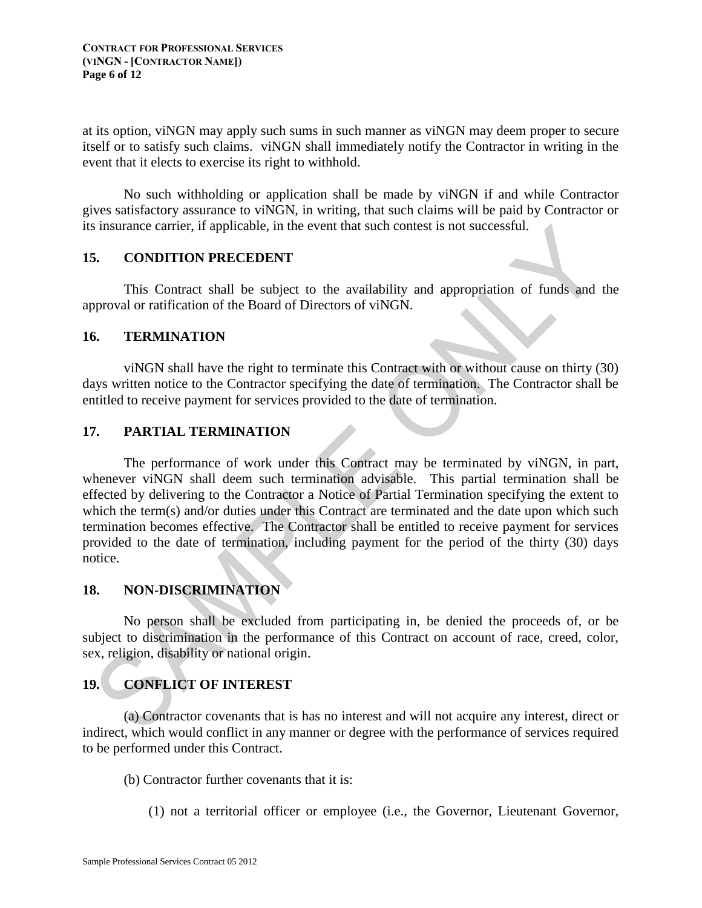at its option, viNGN may apply such sums in such manner as viNGN may deem proper to secure itself or to satisfy such claims. viNGN shall immediately notify the Contractor in writing in the event that it elects to exercise its right to withhold.

No such withholding or application shall be made by viNGN if and while Contractor gives satisfactory assurance to viNGN, in writing, that such claims will be paid by Contractor or its insurance carrier, if applicable, in the event that such contest is not successful.

### **15. CONDITION PRECEDENT**

This Contract shall be subject to the availability and appropriation of funds and the approval or ratification of the Board of Directors of viNGN.

### **16. TERMINATION**

viNGN shall have the right to terminate this Contract with or without cause on thirty (30) days written notice to the Contractor specifying the date of termination. The Contractor shall be entitled to receive payment for services provided to the date of termination.

## **17. PARTIAL TERMINATION**

The performance of work under this Contract may be terminated by viNGN, in part, whenever viNGN shall deem such termination advisable. This partial termination shall be effected by delivering to the Contractor a Notice of Partial Termination specifying the extent to which the term(s) and/or duties under this Contract are terminated and the date upon which such termination becomes effective. The Contractor shall be entitled to receive payment for services provided to the date of termination, including payment for the period of the thirty (30) days notice.

# **18. NON-DISCRIMINATION**

No person shall be excluded from participating in, be denied the proceeds of, or be subject to discrimination in the performance of this Contract on account of race, creed, color, sex, religion, disability or national origin.

# **19. CONFLICT OF INTEREST**

(a) Contractor covenants that is has no interest and will not acquire any interest, direct or indirect, which would conflict in any manner or degree with the performance of services required to be performed under this Contract.

- (b) Contractor further covenants that it is:
	- (1) not a territorial officer or employee (i.e., the Governor, Lieutenant Governor,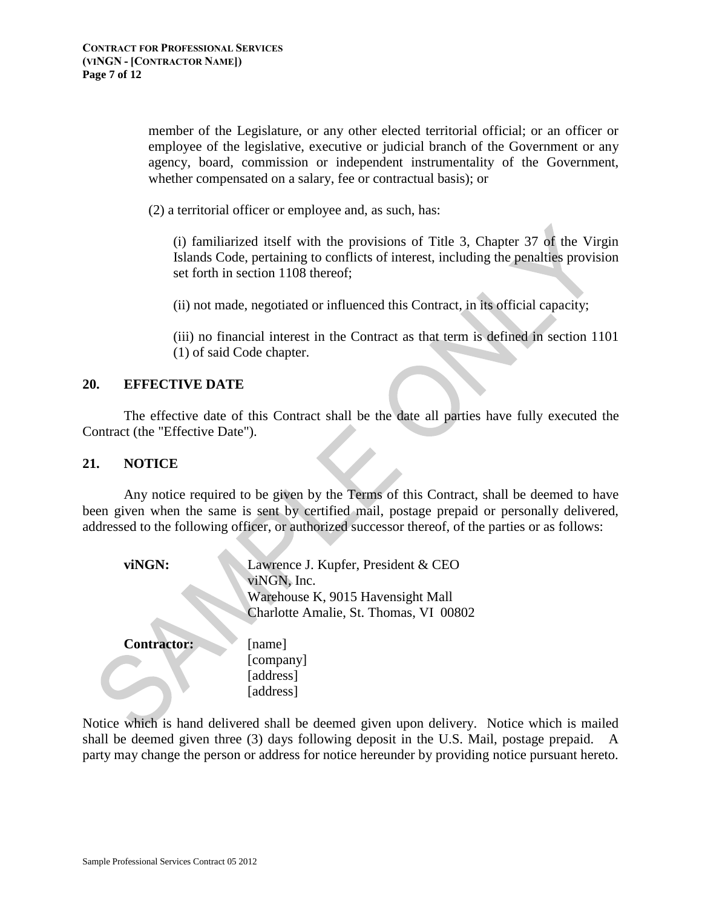member of the Legislature, or any other elected territorial official; or an officer or employee of the legislative, executive or judicial branch of the Government or any agency, board, commission or independent instrumentality of the Government, whether compensated on a salary, fee or contractual basis); or

(2) a territorial officer or employee and, as such, has:

(i) familiarized itself with the provisions of Title 3, Chapter 37 of the Virgin Islands Code, pertaining to conflicts of interest, including the penalties provision set forth in section 1108 thereof;

(ii) not made, negotiated or influenced this Contract, in its official capacity;

(iii) no financial interest in the Contract as that term is defined in section 1101 (1) of said Code chapter.

### **20. EFFECTIVE DATE**

The effective date of this Contract shall be the date all parties have fully executed the Contract (the "Effective Date").

#### **21. NOTICE**

Any notice required to be given by the Terms of this Contract, shall be deemed to have been given when the same is sent by certified mail, postage prepaid or personally delivered, addressed to the following officer, or authorized successor thereof, of the parties or as follows:

| viNGN:             | Lawrence J. Kupfer, President & CEO<br>viNGN, Inc.<br>Warehouse K, 9015 Havensight Mall<br>Charlotte Amalie, St. Thomas, VI 00802 |
|--------------------|-----------------------------------------------------------------------------------------------------------------------------------|
| <b>Contractor:</b> | [name]                                                                                                                            |
|                    | [company]                                                                                                                         |
|                    | [address]                                                                                                                         |
|                    | [address]                                                                                                                         |

Notice which is hand delivered shall be deemed given upon delivery. Notice which is mailed shall be deemed given three (3) days following deposit in the U.S. Mail, postage prepaid. A party may change the person or address for notice hereunder by providing notice pursuant hereto.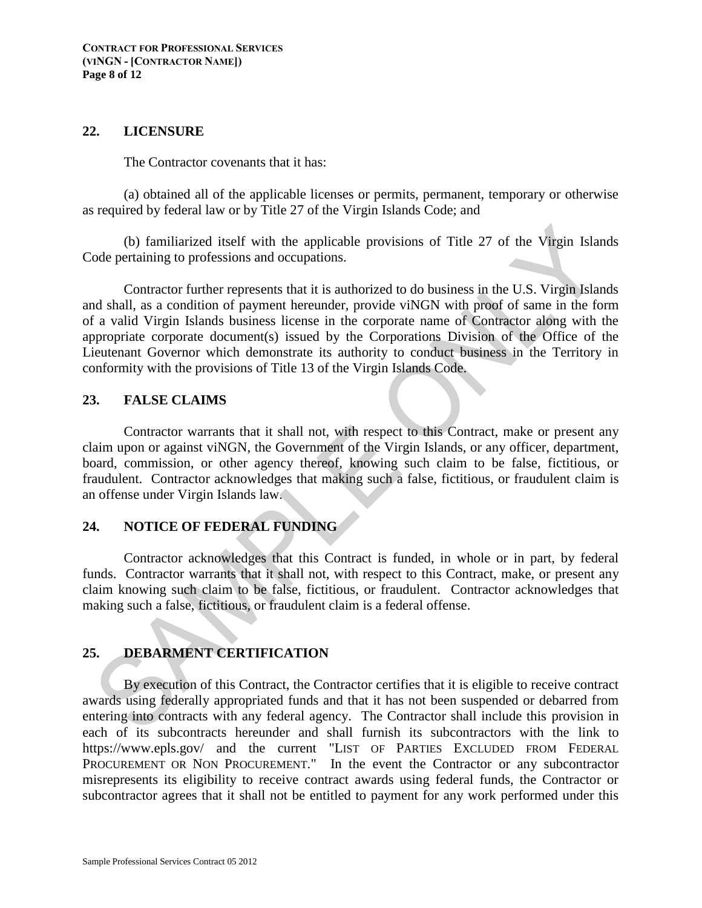#### **22. LICENSURE**

The Contractor covenants that it has:

(a) obtained all of the applicable licenses or permits, permanent, temporary or otherwise as required by federal law or by Title 27 of the Virgin Islands Code; and

(b) familiarized itself with the applicable provisions of Title 27 of the Virgin Islands Code pertaining to professions and occupations.

Contractor further represents that it is authorized to do business in the U.S. Virgin Islands and shall, as a condition of payment hereunder, provide viNGN with proof of same in the form of a valid Virgin Islands business license in the corporate name of Contractor along with the appropriate corporate document(s) issued by the Corporations Division of the Office of the Lieutenant Governor which demonstrate its authority to conduct business in the Territory in conformity with the provisions of Title 13 of the Virgin Islands Code.

### **23. FALSE CLAIMS**

Contractor warrants that it shall not, with respect to this Contract, make or present any claim upon or against viNGN, the Government of the Virgin Islands, or any officer, department, board, commission, or other agency thereof, knowing such claim to be false, fictitious, or fraudulent. Contractor acknowledges that making such a false, fictitious, or fraudulent claim is an offense under Virgin Islands law.

# **24. NOTICE OF FEDERAL FUNDING**

Contractor acknowledges that this Contract is funded, in whole or in part, by federal funds. Contractor warrants that it shall not, with respect to this Contract, make, or present any claim knowing such claim to be false, fictitious, or fraudulent. Contractor acknowledges that making such a false, fictitious, or fraudulent claim is a federal offense.

### **25. DEBARMENT CERTIFICATION**

By execution of this Contract, the Contractor certifies that it is eligible to receive contract awards using federally appropriated funds and that it has not been suspended or debarred from entering into contracts with any federal agency. The Contractor shall include this provision in each of its subcontracts hereunder and shall furnish its subcontractors with the link to https://www.epls.gov/ and the current "LIST OF PARTIES EXCLUDED FROM FEDERAL PROCUREMENT OR NON PROCUREMENT." In the event the Contractor or any subcontractor misrepresents its eligibility to receive contract awards using federal funds, the Contractor or subcontractor agrees that it shall not be entitled to payment for any work performed under this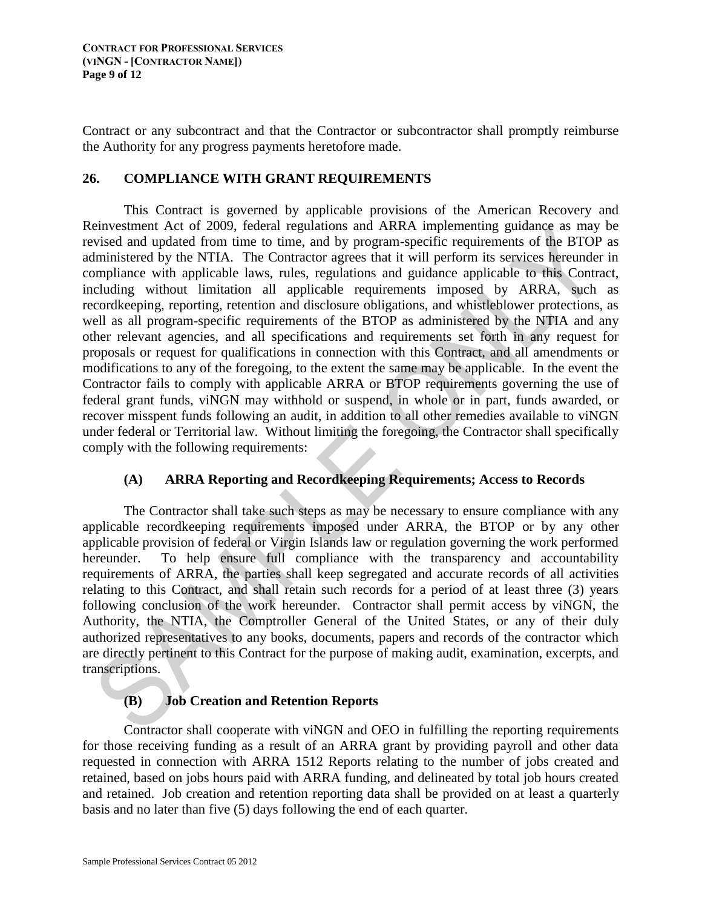Contract or any subcontract and that the Contractor or subcontractor shall promptly reimburse the Authority for any progress payments heretofore made.

## **26. COMPLIANCE WITH GRANT REQUIREMENTS**

This Contract is governed by applicable provisions of the American Recovery and Reinvestment Act of 2009, federal regulations and ARRA implementing guidance as may be revised and updated from time to time, and by program-specific requirements of the BTOP as administered by the NTIA. The Contractor agrees that it will perform its services hereunder in compliance with applicable laws, rules, regulations and guidance applicable to this Contract, including without limitation all applicable requirements imposed by ARRA, such as recordkeeping, reporting, retention and disclosure obligations, and whistleblower protections, as well as all program-specific requirements of the BTOP as administered by the NTIA and any other relevant agencies, and all specifications and requirements set forth in any request for proposals or request for qualifications in connection with this Contract, and all amendments or modifications to any of the foregoing, to the extent the same may be applicable. In the event the Contractor fails to comply with applicable ARRA or BTOP requirements governing the use of federal grant funds, viNGN may withhold or suspend, in whole or in part, funds awarded, or recover misspent funds following an audit, in addition to all other remedies available to viNGN under federal or Territorial law. Without limiting the foregoing, the Contractor shall specifically comply with the following requirements:

# **(A) ARRA Reporting and Recordkeeping Requirements; Access to Records**

The Contractor shall take such steps as may be necessary to ensure compliance with any applicable recordkeeping requirements imposed under ARRA, the BTOP or by any other applicable provision of federal or Virgin Islands law or regulation governing the work performed hereunder. To help ensure full compliance with the transparency and accountability requirements of ARRA, the parties shall keep segregated and accurate records of all activities relating to this Contract, and shall retain such records for a period of at least three (3) years following conclusion of the work hereunder. Contractor shall permit access by viNGN, the Authority, the NTIA, the Comptroller General of the United States, or any of their duly authorized representatives to any books, documents, papers and records of the contractor which are directly pertinent to this Contract for the purpose of making audit, examination, excerpts, and transcriptions.

# **(B) Job Creation and Retention Reports**

Contractor shall cooperate with viNGN and OEO in fulfilling the reporting requirements for those receiving funding as a result of an ARRA grant by providing payroll and other data requested in connection with ARRA 1512 Reports relating to the number of jobs created and retained, based on jobs hours paid with ARRA funding, and delineated by total job hours created and retained. Job creation and retention reporting data shall be provided on at least a quarterly basis and no later than five (5) days following the end of each quarter.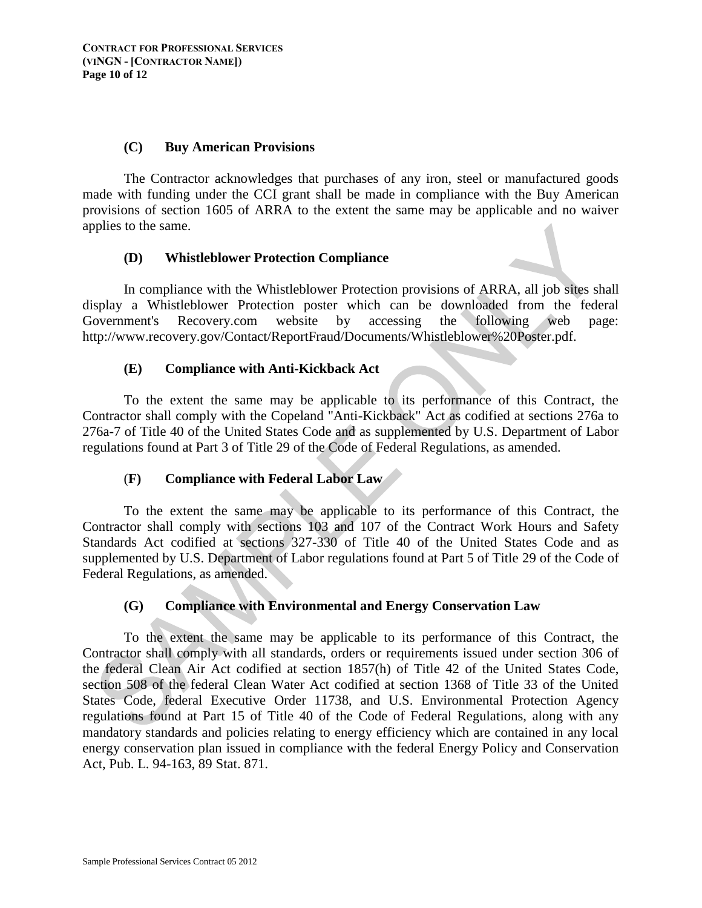#### **(C) Buy American Provisions**

The Contractor acknowledges that purchases of any iron, steel or manufactured goods made with funding under the CCI grant shall be made in compliance with the Buy American provisions of section 1605 of ARRA to the extent the same may be applicable and no waiver applies to the same.

### **(D) Whistleblower Protection Compliance**

In compliance with the Whistleblower Protection provisions of ARRA, all job sites shall display a Whistleblower Protection poster which can be downloaded from the federal Government's Recovery.com website by accessing the following web page: http://www.recovery.gov/Contact/ReportFraud/Documents/Whistleblower%20Poster.pdf.

## **(E) Compliance with Anti-Kickback Act**

To the extent the same may be applicable to its performance of this Contract, the Contractor shall comply with the Copeland "Anti-Kickback" Act as codified at sections 276a to 276a-7 of Title 40 of the United States Code and as supplemented by U.S. Department of Labor regulations found at Part 3 of Title 29 of the Code of Federal Regulations, as amended.

# (**F) Compliance with Federal Labor Law**

To the extent the same may be applicable to its performance of this Contract, the Contractor shall comply with sections 103 and 107 of the Contract Work Hours and Safety Standards Act codified at sections 327-330 of Title 40 of the United States Code and as supplemented by U.S. Department of Labor regulations found at Part 5 of Title 29 of the Code of Federal Regulations, as amended.

### **(G) Compliance with Environmental and Energy Conservation Law**

To the extent the same may be applicable to its performance of this Contract, the Contractor shall comply with all standards, orders or requirements issued under section 306 of the federal Clean Air Act codified at section 1857(h) of Title 42 of the United States Code, section 508 of the federal Clean Water Act codified at section 1368 of Title 33 of the United States Code, federal Executive Order 11738, and U.S. Environmental Protection Agency regulations found at Part 15 of Title 40 of the Code of Federal Regulations, along with any mandatory standards and policies relating to energy efficiency which are contained in any local energy conservation plan issued in compliance with the federal Energy Policy and Conservation Act, Pub. L. 94-163, 89 Stat. 871.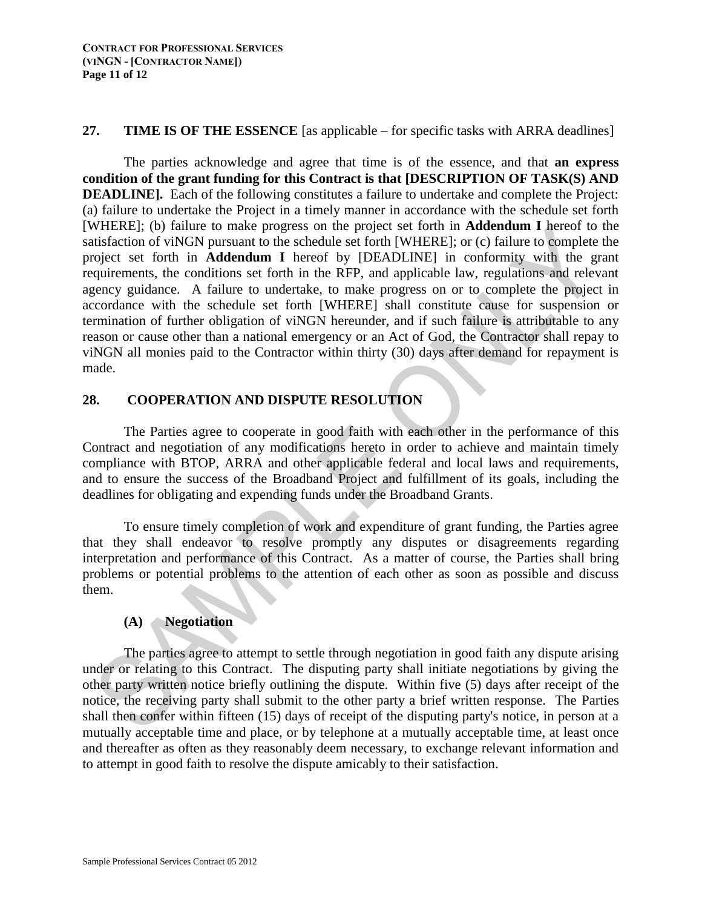#### **27. TIME IS OF THE ESSENCE** [as applicable – for specific tasks with ARRA deadlines]

The parties acknowledge and agree that time is of the essence, and that **an express condition of the grant funding for this Contract is that [DESCRIPTION OF TASK(S) AND DEADLINE].** Each of the following constitutes a failure to undertake and complete the Project: (a) failure to undertake the Project in a timely manner in accordance with the schedule set forth [WHERE]; (b) failure to make progress on the project set forth in **Addendum I** hereof to the satisfaction of viNGN pursuant to the schedule set forth [WHERE]; or (c) failure to complete the project set forth in **Addendum I** hereof by [DEADLINE] in conformity with the grant requirements, the conditions set forth in the RFP, and applicable law, regulations and relevant agency guidance. A failure to undertake, to make progress on or to complete the project in accordance with the schedule set forth [WHERE] shall constitute cause for suspension or termination of further obligation of viNGN hereunder, and if such failure is attributable to any reason or cause other than a national emergency or an Act of God, the Contractor shall repay to viNGN all monies paid to the Contractor within thirty (30) days after demand for repayment is made.

## **28. COOPERATION AND DISPUTE RESOLUTION**

The Parties agree to cooperate in good faith with each other in the performance of this Contract and negotiation of any modifications hereto in order to achieve and maintain timely compliance with BTOP, ARRA and other applicable federal and local laws and requirements, and to ensure the success of the Broadband Project and fulfillment of its goals, including the deadlines for obligating and expending funds under the Broadband Grants.

To ensure timely completion of work and expenditure of grant funding, the Parties agree that they shall endeavor to resolve promptly any disputes or disagreements regarding interpretation and performance of this Contract. As a matter of course, the Parties shall bring problems or potential problems to the attention of each other as soon as possible and discuss them.

# **(A) Negotiation**

The parties agree to attempt to settle through negotiation in good faith any dispute arising under or relating to this Contract. The disputing party shall initiate negotiations by giving the other party written notice briefly outlining the dispute. Within five (5) days after receipt of the notice, the receiving party shall submit to the other party a brief written response. The Parties shall then confer within fifteen (15) days of receipt of the disputing party's notice, in person at a mutually acceptable time and place, or by telephone at a mutually acceptable time, at least once and thereafter as often as they reasonably deem necessary, to exchange relevant information and to attempt in good faith to resolve the dispute amicably to their satisfaction.